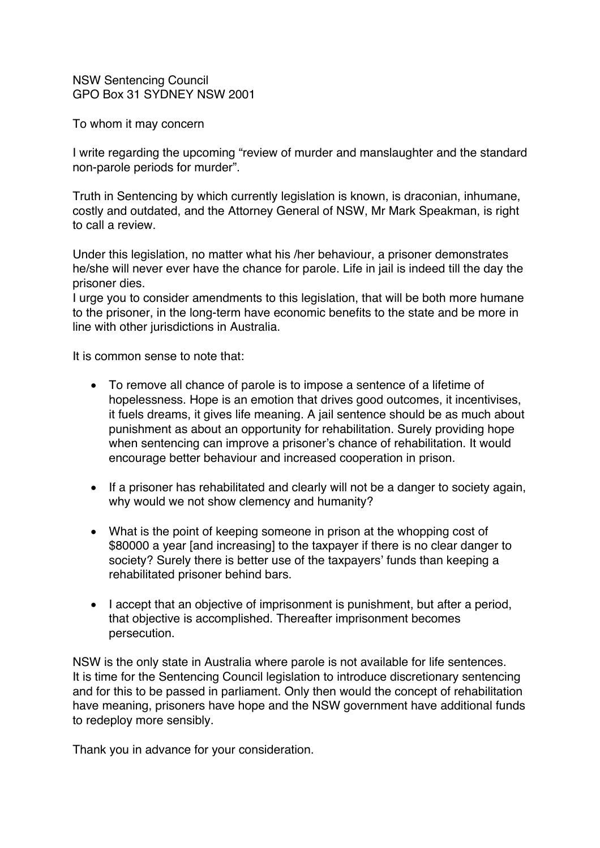NSW Sentencing Council GPO Box 31 SYDNEY NSW 2001

To whom it may concern

I write regarding the upcoming "review of murder and manslaughter and the standard non-parole periods for murder".

Truth in Sentencing by which currently legislation is known, is draconian, inhumane, costly and outdated, and the Attorney General of NSW, Mr Mark Speakman, is right to call a review.

Under this legislation, no matter what his /her behaviour, a prisoner demonstrates he/she will never ever have the chance for parole. Life in jail is indeed till the day the prisoner dies.

I urge you to consider amendments to this legislation, that will be both more humane to the prisoner, in the long-term have economic benefits to the state and be more in line with other jurisdictions in Australia.

It is common sense to note that:

- To remove all chance of parole is to impose a sentence of a lifetime of hopelessness. Hope is an emotion that drives good outcomes, it incentivises, it fuels dreams, it gives life meaning. A jail sentence should be as much about punishment as about an opportunity for rehabilitation. Surely providing hope when sentencing can improve a prisoner's chance of rehabilitation. It would encourage better behaviour and increased cooperation in prison.
- If a prisoner has rehabilitated and clearly will not be a danger to society again, why would we not show clemency and humanity?
- What is the point of keeping someone in prison at the whopping cost of \$80000 a year [and increasing] to the taxpayer if there is no clear danger to society? Surely there is better use of the taxpayers' funds than keeping a rehabilitated prisoner behind bars.
- I accept that an objective of imprisonment is punishment, but after a period, that objective is accomplished. Thereafter imprisonment becomes persecution.

NSW is the only state in Australia where parole is not available for life sentences. It is time for the Sentencing Council legislation to introduce discretionary sentencing and for this to be passed in parliament. Only then would the concept of rehabilitation have meaning, prisoners have hope and the NSW government have additional funds to redeploy more sensibly.

Thank you in advance for your consideration.